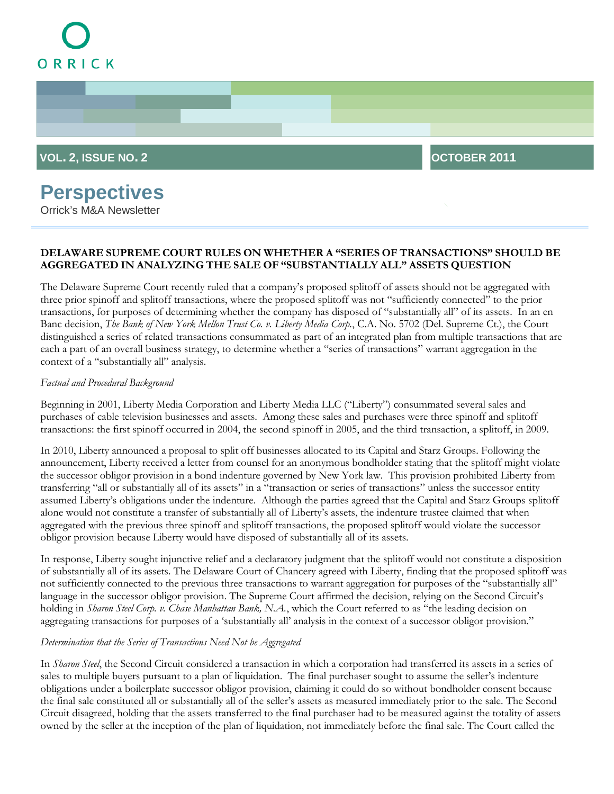# ORRICK



## **Perspectives**

Orrick's M&A Newsletter

### **DELAWARE SUPREME COURT RULES ON WHETHER A "SERIES OF TRANSACTIONS" SHOULD BE AGGREGATED IN ANALYZING THE SALE OF "SUBSTANTIALLY ALL" ASSETS QUESTION**

The Delaware Supreme Court recently ruled that a company's proposed splitoff of assets should not be aggregated with three prior spinoff and splitoff transactions, where the proposed splitoff was not "sufficiently connected" to the prior transactions, for purposes of determining whether the company has disposed of "substantially all" of its assets. In an en Banc decision, *The Bank of New York Mellon Trust Co. v. Liberty Media Corp.*, C.A. No. 5702 (Del. Supreme Ct.), the Court distinguished a series of related transactions consummated as part of an integrated plan from multiple transactions that are each a part of an overall business strategy, to determine whether a "series of transactions" warrant aggregation in the context of a "substantially all" analysis.

#### *Factual and Procedural Background*

Beginning in 2001, Liberty Media Corporation and Liberty Media LLC ("Liberty") consummated several sales and purchases of cable television businesses and assets. Among these sales and purchases were three spinoff and splitoff transactions: the first spinoff occurred in 2004, the second spinoff in 2005, and the third transaction, a splitoff, in 2009.

In 2010, Liberty announced a proposal to split off businesses allocated to its Capital and Starz Groups. Following the announcement, Liberty received a letter from counsel for an anonymous bondholder stating that the splitoff might violate the successor obligor provision in a bond indenture governed by New York law. This provision prohibited Liberty from transferring "all or substantially all of its assets" in a "transaction or series of transactions" unless the successor entity assumed Liberty's obligations under the indenture. Although the parties agreed that the Capital and Starz Groups splitoff alone would not constitute a transfer of substantially all of Liberty's assets, the indenture trustee claimed that when aggregated with the previous three spinoff and splitoff transactions, the proposed splitoff would violate the successor obligor provision because Liberty would have disposed of substantially all of its assets.

In response, Liberty sought injunctive relief and a declaratory judgment that the splitoff would not constitute a disposition of substantially all of its assets. The Delaware Court of Chancery agreed with Liberty, finding that the proposed splitoff was not sufficiently connected to the previous three transactions to warrant aggregation for purposes of the "substantially all" language in the successor obligor provision. The Supreme Court affirmed the decision, relying on the Second Circuit's holding in *Sharon Steel Corp. v. Chase Manhattan Bank, N.A.*, which the Court referred to as "the leading decision on aggregating transactions for purposes of a 'substantially all' analysis in the context of a successor obligor provision."

#### *Determination that the Series of Transactions Need Not be Aggregated*

In *Sharon Steel*, the Second Circuit considered a transaction in which a corporation had transferred its assets in a series of sales to multiple buyers pursuant to a plan of liquidation. The final purchaser sought to assume the seller's indenture obligations under a boilerplate successor obligor provision, claiming it could do so without bondholder consent because the final sale constituted all or substantially all of the seller's assets as measured immediately prior to the sale. The Second Circuit disagreed, holding that the assets transferred to the final purchaser had to be measured against the totality of assets owned by the seller at the inception of the plan of liquidation, not immediately before the final sale. The Court called the